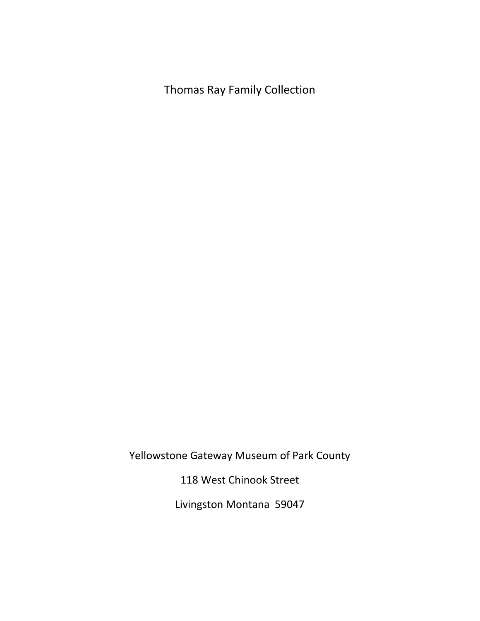Thomas Ray Family Collection

Yellowstone Gateway Museum of Park County

118 West Chinook Street

Livingston Montana 59047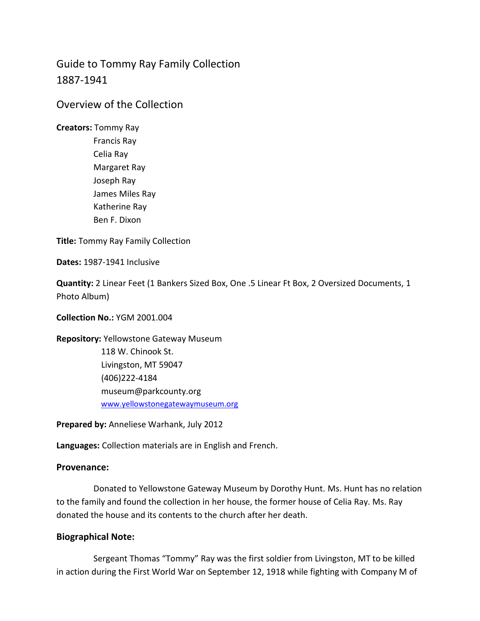# Guide to Tommy Ray Family Collection 1887-1941

# Overview of the Collection

**Creators:** Tommy Ray

Francis Ray Celia Ray Margaret Ray Joseph Ray James Miles Ray Katherine Ray Ben F. Dixon

**Title:** Tommy Ray Family Collection

**Dates:** 1987-1941 Inclusive

**Quantity:** 2 Linear Feet (1 Bankers Sized Box, One .5 Linear Ft Box, 2 Oversized Documents, 1 Photo Album)

**Collection No.:** YGM 2001.004

**Repository:** Yellowstone Gateway Museum 118 W. Chinook St. Livingston, MT 59047 (406)222-4184 museum@parkcounty.org [www.yellowstonegatewaymuseum.org](http://www.yellowstonegatewaymuseum.org/)

**Prepared by:** Anneliese Warhank, July 2012

**Languages:** Collection materials are in English and French.

#### **Provenance:**

Donated to Yellowstone Gateway Museum by Dorothy Hunt. Ms. Hunt has no relation to the family and found the collection in her house, the former house of Celia Ray. Ms. Ray donated the house and its contents to the church after her death.

#### **Biographical Note:**

Sergeant Thomas "Tommy" Ray was the first soldier from Livingston, MT to be killed in action during the First World War on September 12, 1918 while fighting with Company M of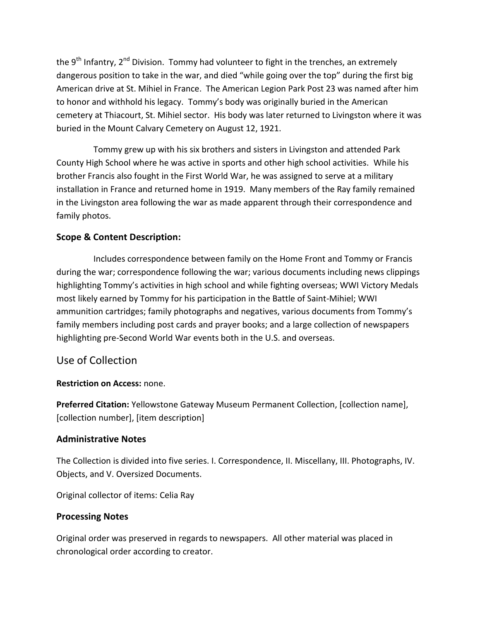the 9<sup>th</sup> Infantry, 2<sup>nd</sup> Division. Tommy had volunteer to fight in the trenches, an extremely dangerous position to take in the war, and died "while going over the top" during the first big American drive at St. Mihiel in France. The American Legion Park Post 23 was named after him to honor and withhold his legacy. Tommy's body was originally buried in the American cemetery at Thiacourt, St. Mihiel sector. His body was later returned to Livingston where it was buried in the Mount Calvary Cemetery on August 12, 1921.

Tommy grew up with his six brothers and sisters in Livingston and attended Park County High School where he was active in sports and other high school activities. While his brother Francis also fought in the First World War, he was assigned to serve at a military installation in France and returned home in 1919. Many members of the Ray family remained in the Livingston area following the war as made apparent through their correspondence and family photos.

## **Scope & Content Description:**

Includes correspondence between family on the Home Front and Tommy or Francis during the war; correspondence following the war; various documents including news clippings highlighting Tommy's activities in high school and while fighting overseas; WWI Victory Medals most likely earned by Tommy for his participation in the Battle of Saint-Mihiel; WWI ammunition cartridges; family photographs and negatives, various documents from Tommy's family members including post cards and prayer books; and a large collection of newspapers highlighting pre-Second World War events both in the U.S. and overseas.

# Use of Collection

#### **Restriction on Access:** none.

**Preferred Citation:** Yellowstone Gateway Museum Permanent Collection, [collection name], [collection number], [item description]

#### **Administrative Notes**

The Collection is divided into five series. I. Correspondence, II. Miscellany, III. Photographs, IV. Objects, and V. Oversized Documents.

Original collector of items: Celia Ray

#### **Processing Notes**

Original order was preserved in regards to newspapers. All other material was placed in chronological order according to creator.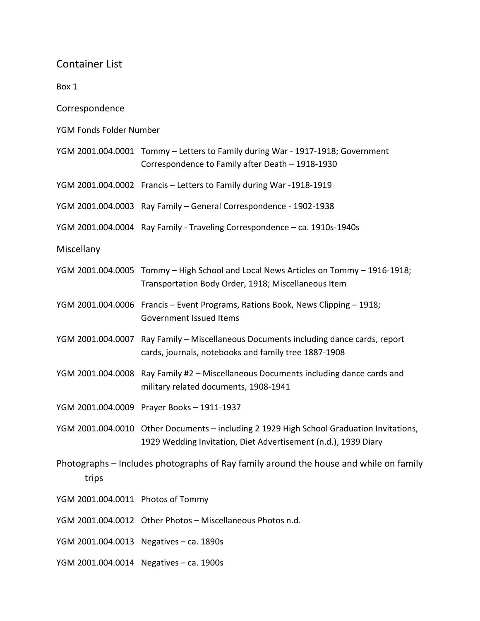## Container List

Box 1

- Correspondence
- YGM Fonds Folder Number
- YGM 2001.004.0001 Tommy Letters to Family during War 1917-1918; Government Correspondence to Family after Death – 1918-1930 YGM 2001.004.0002 Francis – Letters to Family during War -1918-1919 YGM 2001.004.0003 Ray Family – General Correspondence - 1902-1938 YGM 2001.004.0004 Ray Family - Traveling Correspondence – ca. 1910s-1940s Miscellany YGM 2001.004.0005 Tommy – High School and Local News Articles on Tommy – 1916-1918; Transportation Body Order, 1918; Miscellaneous Item YGM 2001.004.0006 Francis – Event Programs, Rations Book, News Clipping – 1918; Government Issued Items YGM 2001.004.0007 Ray Family – Miscellaneous Documents including dance cards, report cards, journals, notebooks and family tree 1887-1908 YGM 2001.004.0008 Ray Family #2 – Miscellaneous Documents including dance cards and military related documents, 1908-1941 YGM 2001.004.0009 Prayer Books – 1911-1937 YGM 2001.004.0010 Other Documents – including 2 1929 High School Graduation Invitations, 1929 Wedding Invitation, Diet Advertisement (n.d.), 1939 Diary Photographs – Includes photographs of Ray family around the house and while on family trips YGM 2001.004.0011 Photos of Tommy YGM 2001.004.0012 Other Photos – Miscellaneous Photos n.d.
- YGM 2001.004.0013 Negatives ca. 1890s
- YGM 2001.004.0014 Negatives ca. 1900s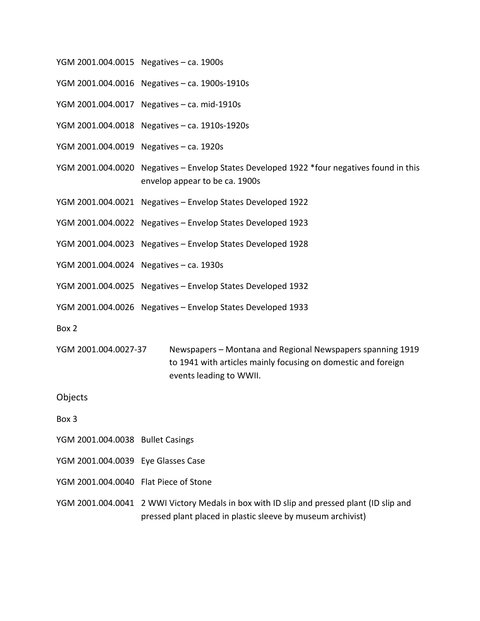- YGM 2001.004.0015 Negatives ca. 1900s
- YGM 2001.004.0016 Negatives ca. 1900s-1910s
- YGM 2001.004.0017 Negatives ca. mid-1910s
- YGM 2001.004.0018 Negatives ca. 1910s-1920s
- YGM 2001.004.0019 Negatives ca. 1920s
- YGM 2001.004.0020 Negatives Envelop States Developed 1922 \*four negatives found in this envelop appear to be ca. 1900s
- YGM 2001.004.0021 Negatives Envelop States Developed 1922
- YGM 2001.004.0022 Negatives Envelop States Developed 1923
- YGM 2001.004.0023 Negatives Envelop States Developed 1928
- YGM 2001.004.0024 Negatives ca. 1930s
- YGM 2001.004.0025 Negatives Envelop States Developed 1932
- YGM 2001.004.0026 Negatives Envelop States Developed 1933

Box 2

YGM 2001.004.0027-37 Newspapers – Montana and Regional Newspapers spanning 1919 to 1941 with articles mainly focusing on domestic and foreign events leading to WWII.

#### **Objects**

Box 3

- YGM 2001.004.0038 Bullet Casings
- YGM 2001.004.0039 Eye Glasses Case
- YGM 2001.004.0040 Flat Piece of Stone
- YGM 2001.004.0041 2 WWI Victory Medals in box with ID slip and pressed plant (ID slip and pressed plant placed in plastic sleeve by museum archivist)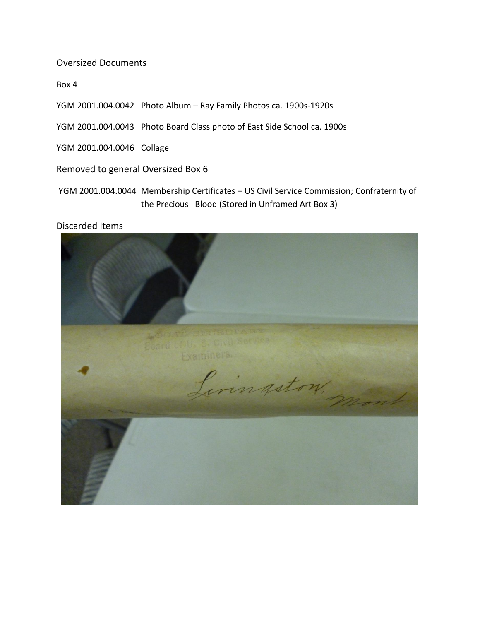Oversized Documents

Box 4

- YGM 2001.004.0042 Photo Album Ray Family Photos ca. 1900s-1920s
- YGM 2001.004.0043 Photo Board Class photo of East Side School ca. 1900s
- YGM 2001.004.0046 Collage

Removed to general Oversized Box 6

YGM 2001.004.0044 Membership Certificates – US Civil Service Commission; Confraternity of the Precious Blood (Stored in Unframed Art Box 3)

Discarded Items

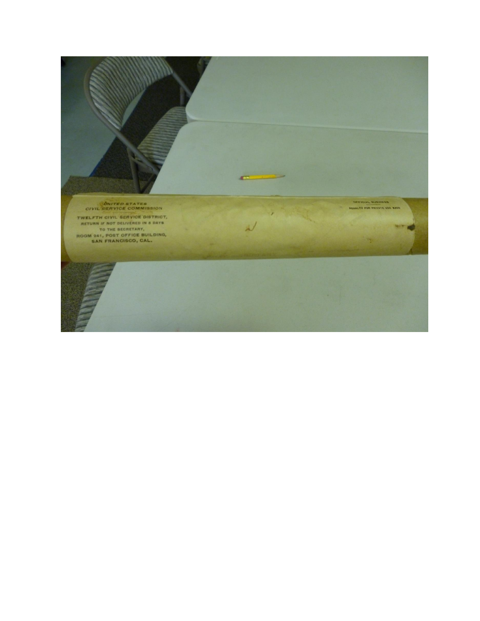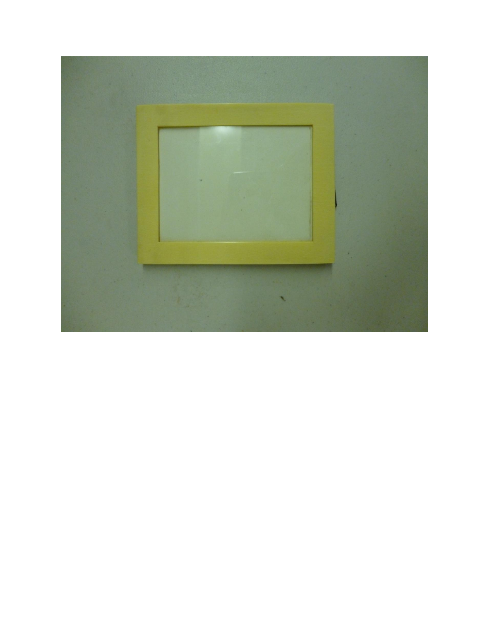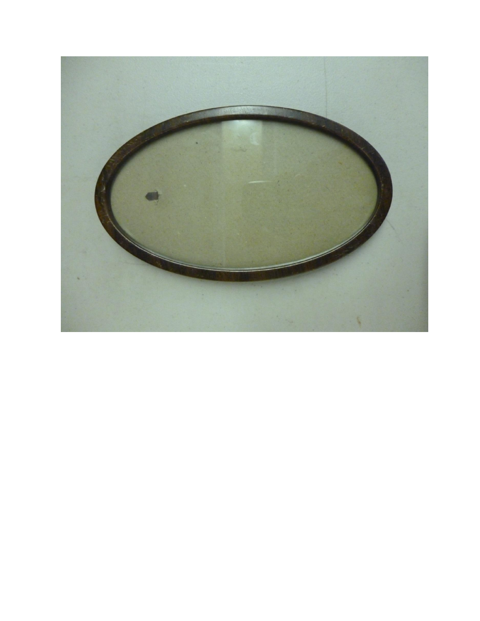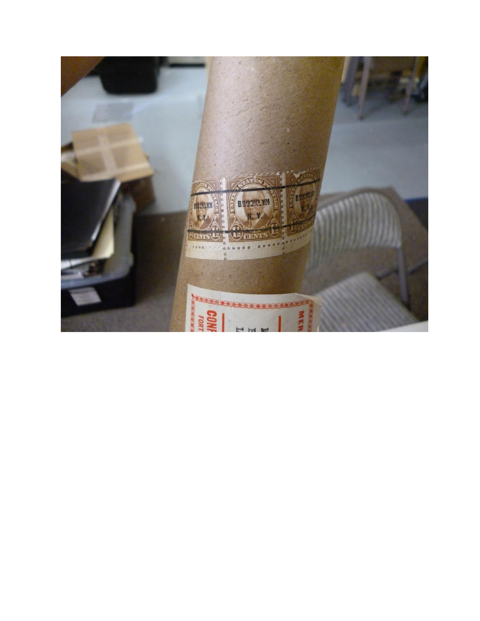